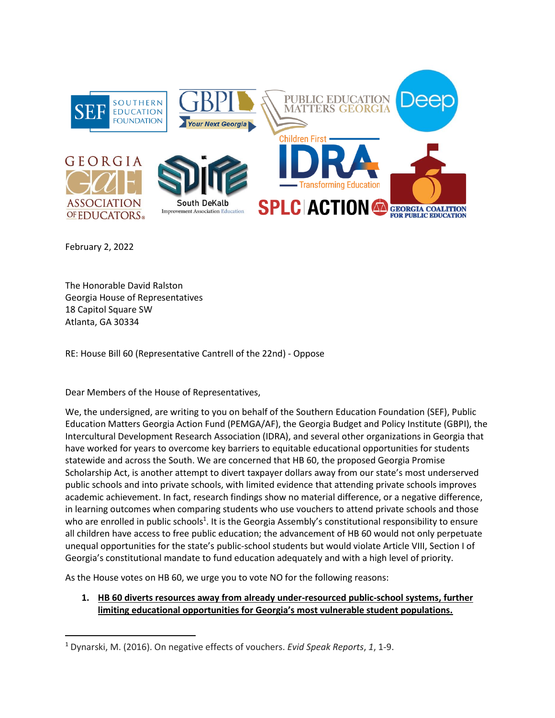

February 2, 2022

The Honorable David Ralston Georgia House of Representatives 18 Capitol Square SW Atlanta, GA 30334

RE: House Bill 60 (Representative Cantrell of the 22nd) - Oppose

Dear Members of the House of Representatives,

We, the undersigned, are writing to you on behalf of the Southern Education Foundation (SEF), Public Education Matters Georgia Action Fund (PEMGA/AF), the Georgia Budget and Policy Institute (GBPI), the Intercultural Development Research Association (IDRA), and several other organizations in Georgia that have worked for years to overcome key barriers to equitable educational opportunities for students statewide and across the South. We are concerned that HB 60, the proposed Georgia Promise Scholarship Act, is another attempt to divert taxpayer dollars away from our state's most underserved public schools and into private schools, with limited evidence that attending private schools improves academic achievement. In fact, research findings show no material difference, or a negative difference, in learning outcomes when comparing students who use vouchers to attend private schools and those who are enrolled in public schools<sup>1</sup>. It is the Georgia Assembly's constitutional responsibility to ensure all children have access to free public education; the advancement of HB 60 would not only perpetuate unequal opportunities for the state's public-school students but would violate Article VIII, Section I of Georgia's constitutional mandate to fund education adequately and with a high level of priority.

As the House votes on HB 60, we urge you to vote NO for the following reasons:

**1. HB 60 diverts resources away from already under-resourced public-school systems, further limiting educational opportunities for Georgia's most vulnerable student populations.** 

<sup>1</sup> Dynarski, M. (2016). On negative effects of vouchers. *Evid Speak Reports*, *1*, 1-9.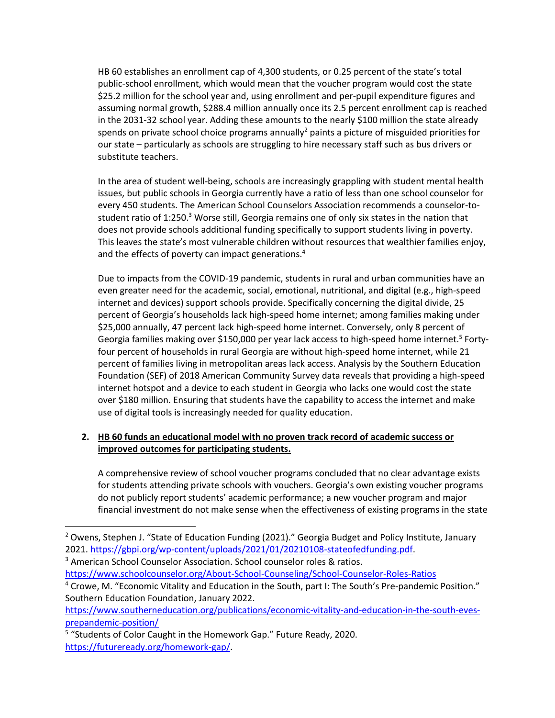HB 60 establishes an enrollment cap of 4,300 students, or 0.25 percent of the state's total public-school enrollment, which would mean that the voucher program would cost the state \$25.2 million for the school year and, using enrollment and per-pupil expenditure figures and assuming normal growth, \$288.4 million annually once its 2.5 percent enrollment cap is reached in the 2031-32 school year. Adding these amounts to the nearly \$100 million the state already spends on private school choice programs annually<sup>2</sup> paints a picture of misguided priorities for our state – particularly as schools are struggling to hire necessary staff such as bus drivers or substitute teachers.

In the area of student well-being, schools are increasingly grappling with student mental health issues, but public schools in Georgia currently have a ratio of less than one school counselor for every 450 students. The American School Counselors Association recommends a counselor-tostudent ratio of 1:250.<sup>3</sup> Worse still, Georgia remains one of only six states in the nation that does not provide schools additional funding specifically to support students living in poverty. This leaves the state's most vulnerable children without resources that wealthier families enjoy, and the effects of poverty can impact generations.<sup>4</sup>

Due to impacts from the COVID-19 pandemic, students in rural and urban communities have an even greater need for the academic, social, emotional, nutritional, and digital (e.g., high-speed internet and devices) support schools provide. Specifically concerning the digital divide, 25 percent of Georgia's households lack high-speed home internet; among families making under \$25,000 annually, 47 percent lack high-speed home internet. Conversely, only 8 percent of Georgia families making over \$150,000 per year lack access to high-speed home internet.<sup>5</sup> Fortyfour percent of households in rural Georgia are without high-speed home internet, while 21 percent of families living in metropolitan areas lack access. Analysis by the Southern Education Foundation (SEF) of 2018 American Community Survey data reveals that providing a high-speed internet hotspot and a device to each student in Georgia who lacks one would cost the state over \$180 million. Ensuring that students have the capability to access the internet and make use of digital tools is increasingly needed for quality education.

# **2. HB 60 funds an educational model with no proven track record of academic success or improved outcomes for participating students.**

A comprehensive review of school voucher programs concluded that no clear advantage exists for students attending private schools with vouchers. Georgia's own existing voucher programs do not publicly report students' academic performance; a new voucher program and major financial investment do not make sense when the effectiveness of existing programs in the state

<sup>3</sup> American School Counselor Association[.](https://www.schoolcounselor.org/About-School-Counseling/School-Counselor-Roles-Ratios) School counselor roles & ratios.

<https://www.schoolcounselor.org/About-School-Counseling/School-Counselor-Roles-Ratios>

<sup>&</sup>lt;sup>2</sup> Owens, Stephen J. "State of Education Funding (2021)." Georgia Budget and Policy Institute, January 2021[. https://gbpi.org/wp-content/uploads/2021/01/20210108-stateofedfunding.pdf.](https://gbpi.org/wp-content/uploads/2021/01/20210108-stateofedfunding.pdf)

<sup>4</sup> Crowe, M. "Economic Vitality and Education in the South, part I: The South's Pre-pandemic Position." Southern Education Foundation, January 2022.

[https://www.southerneducation.org/publications/economic-vitality-and-education-in-the-south-eves](https://www.southerneducation.org/publications/economic-vitality-and-education-in-the-south-eves-prepandemic-position/)[prepandemic-position/](https://www.southerneducation.org/publications/economic-vitality-and-education-in-the-south-eves-prepandemic-position/)

<sup>&</sup>lt;sup>5</sup> "Students of Color Caught in the Homework Gap." Future Ready, 2020. [https://futureready.org/homework-gap/.](https://futureready.org/homework-gap/)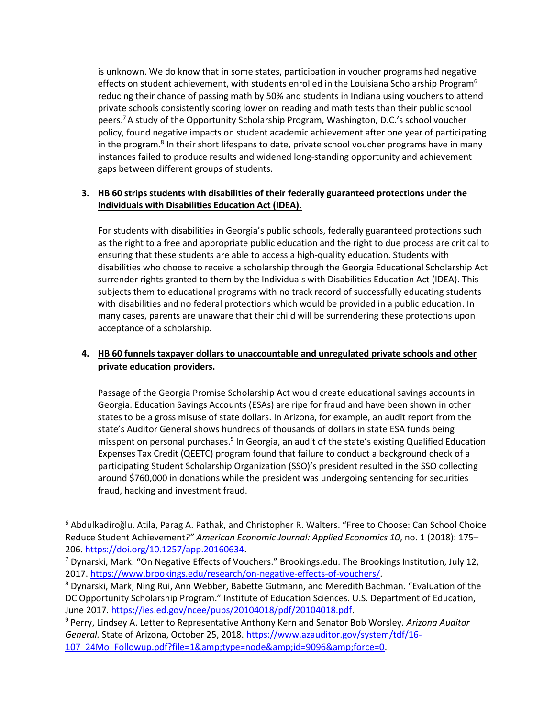is unknown. We do know that in some states, participation in voucher programs had negative effects on student achievement, with students enrolled in the Louisiana Scholarship Program<sup>6</sup> reducing their chance of passing math by 50% and students in Indiana using vouchers to attend private schools consistently scoring lower on reading and math tests than their public school peers.<sup>7</sup>A study of the Opportunity Scholarship Program, Washington, D.C.'s school voucher policy, found negative impacts on student academic achievement after one year of participating in the program.<sup>8</sup> In their short lifespans to date, private school voucher programs have in many instances failed to produce results and widened long-standing opportunity and achievement gaps between different groups of students.

## **3. HB 60 strips students with disabilities of their federally guaranteed protections under the Individuals with Disabilities Education Act (IDEA).**

For students with disabilities in Georgia's public schools, federally guaranteed protections such as the right to a free and appropriate public education and the right to due process are critical to ensuring that these students are able to access a high-quality education. Students with disabilities who choose to receive a scholarship through the Georgia Educational Scholarship Act surrender rights granted to them by the Individuals with Disabilities Education Act (IDEA). This subjects them to educational programs with no track record of successfully educating students with disabilities and no federal protections which would be provided in a public education. In many cases, parents are unaware that their child will be surrendering these protections upon acceptance of a scholarship.

# **4. HB 60 funnels taxpayer dollars to unaccountable and unregulated private schools and other private education providers.**

Passage of the Georgia Promise Scholarship Act would create educational savings accounts in Georgia. Education Savings Accounts (ESAs) are ripe for fraud and have been shown in other states to be a gross misuse of state dollars. In Arizona, for example, an audit report from the state's Auditor General shows hundreds of thousands of dollars in state ESA funds being misspent on personal purchases.<sup>9</sup> In Georgia, an audit of the state's existing Qualified Education Expenses Tax Credit (QEETC) program found that failure to conduct a background check of a participating Student Scholarship Organization (SSO)'s president resulted in the SSO collecting around \$760,000 in donations while the president was undergoing sentencing for securities fraud, hacking and investment fraud.

<sup>6</sup> Abdulkadiroğlu, Atila, Parag A. Pathak, and Christopher R. Walters. "Free to Choose: Can School Choice Reduce Student Achievement*?" American Economic Journal: Applied Economics 10*, no. 1 (2018): 175– 206. [https://doi.org/10.1257/app.20160634.](https://doi.org/10.1257/app.20160634)

<sup>&</sup>lt;sup>7</sup> Dynarski, Mark. "On Negative Effects of Vouchers." Brookings.edu. The Brookings Institution, July 12, 2017[. https://www.brookings.edu/research/on-negative-effects-of-vouchers/.](https://www.brookings.edu/research/on-negative-effects-of-vouchers/)

<sup>8</sup> Dynarski, Mark, Ning Rui, Ann Webber, Babette Gutmann, and Meredith Bachman. "Evaluation of the DC Opportunity Scholarship Program." Institute of Education Sciences. U.S. Department of Education, June 2017[. https://ies.ed.gov/ncee/pubs/20104018/pdf/20104018.pdf.](https://ies.ed.gov/ncee/pubs/20104018/pdf/20104018.pdf)

<sup>9</sup> Perry, Lindsey A. Letter to Representative Anthony Kern and Senator Bob Worsley. *Arizona Auditor General.* State of Arizona, October 25, 2018[. https://www.azauditor.gov/system/tdf/16-](https://www.azauditor.gov/system/tdf/16-107_24Mo_Followup.pdf?file=1&type=node&id=9096&force=0) [107\\_24Mo\\_Followup.pdf?file=1&type=node&id=9096&force=0.](https://www.azauditor.gov/system/tdf/16-107_24Mo_Followup.pdf?file=1&type=node&id=9096&force=0)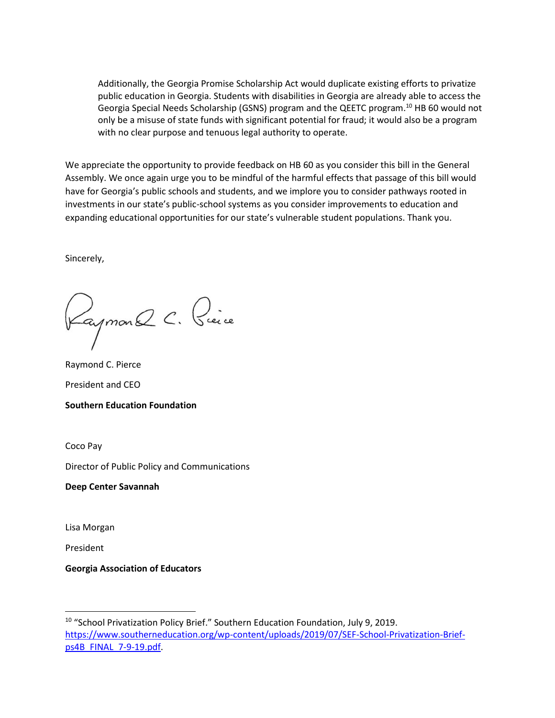Additionally, the Georgia Promise Scholarship Act would duplicate existing efforts to privatize public education in Georgia. Students with disabilities in Georgia are already able to access the Georgia Special Needs Scholarship (GSNS) program and the QEETC program.<sup>10</sup> HB 60 would not only be a misuse of state funds with significant potential for fraud; it would also be a program with no clear purpose and tenuous legal authority to operate.

We appreciate the opportunity to provide feedback on HB 60 as you consider this bill in the General Assembly. We once again urge you to be mindful of the harmful effects that passage of this bill would have for Georgia's public schools and students, and we implore you to consider pathways rooted in investments in our state's public-school systems as you consider improvements to education and expanding educational opportunities for our state's vulnerable student populations. Thank you.

Sincerely,

Kaymon Q C. Pièce

Raymond C. Pierce President and CEO **Southern Education Foundation** 

Coco Pay

Director of Public Policy and Communications

**Deep Center Savannah**

Lisa Morgan

President

**Georgia Association of Educators** 

<sup>&</sup>lt;sup>10</sup> "School Privatization Policy Brief." Southern Education Foundation, July 9, 2019. [https://www.southerneducation.org/wp-content/uploads/2019/07/SEF-School-Privatization-Brief](https://www.southerneducation.org/wp-content/uploads/2019/07/SEF-School-Privatization-Brief-ps4B_FINAL_7-9-19.pdf)[ps4B\\_FINAL\\_7-9-19.pdf.](https://www.southerneducation.org/wp-content/uploads/2019/07/SEF-School-Privatization-Brief-ps4B_FINAL_7-9-19.pdf)